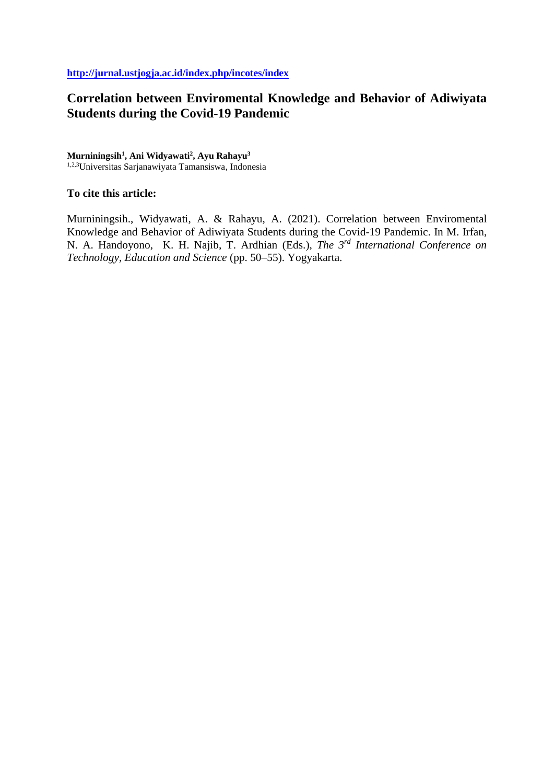# **Correlation between Enviromental Knowledge and Behavior of Adiwiyata Students during the Covid-19 Pandemic**

## **Murniningsih<sup>1</sup> , Ani Widyawati<sup>2</sup> , Ayu Rahayu<sup>3</sup>**

1,2,3Universitas Sarjanawiyata Tamansiswa, Indonesia

# **To cite this article:**

Murniningsih., Widyawati, A. & Rahayu, A. (2021). Correlation between Enviromental Knowledge and Behavior of Adiwiyata Students during the Covid-19 Pandemic. In M. Irfan, N. A. Handoyono, K. H. Najib, T. Ardhian (Eds.), *The 3rd International Conference on Technology, Education and Science* (pp. 50–55). Yogyakarta.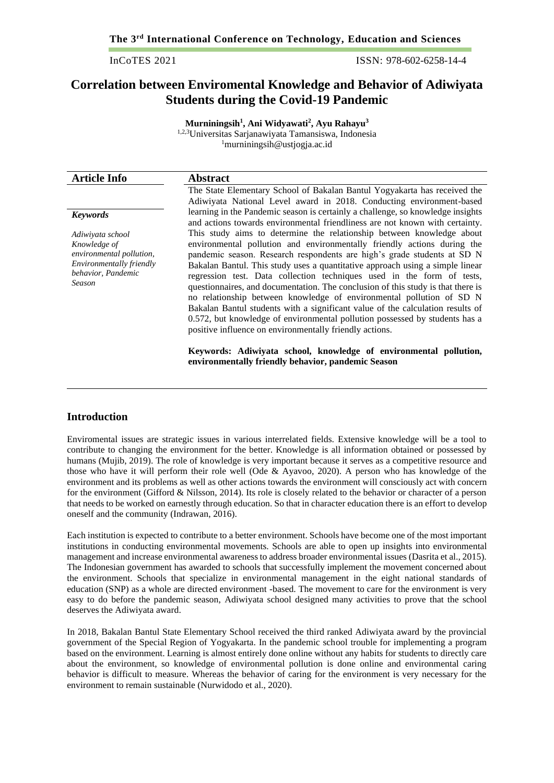InCoTES 2021 ISSN: 978-602-6258-14-4

# **Correlation between Enviromental Knowledge and Behavior of Adiwiyata Students during the Covid-19 Pandemic**

**Murniningsih<sup>1</sup> , Ani Widyawati<sup>2</sup> , Ayu Rahayu<sup>3</sup>** 1,2,3Universitas Sarjanawiyata Tamansiswa, Indonesia <sup>1</sup>murniningsih@ustjogja.ac.id

| <b>Article Info</b>                                                                                                      | <b>Abstract</b>                                                                                                                                                                                                                                                                                                                                                                                                                                                                                                                                                                                                                                                                                                                                                                |
|--------------------------------------------------------------------------------------------------------------------------|--------------------------------------------------------------------------------------------------------------------------------------------------------------------------------------------------------------------------------------------------------------------------------------------------------------------------------------------------------------------------------------------------------------------------------------------------------------------------------------------------------------------------------------------------------------------------------------------------------------------------------------------------------------------------------------------------------------------------------------------------------------------------------|
|                                                                                                                          | The State Elementary School of Bakalan Bantul Yogyakarta has received the<br>Adiwiyata National Level award in 2018. Conducting environment-based                                                                                                                                                                                                                                                                                                                                                                                                                                                                                                                                                                                                                              |
| <b>Keywords</b>                                                                                                          | learning in the Pandemic season is certainly a challenge, so knowledge insights<br>and actions towards environmental friendliness are not known with certainty.                                                                                                                                                                                                                                                                                                                                                                                                                                                                                                                                                                                                                |
| Adiwiyata school<br>Knowledge of<br>environmental pollution,<br>Environmentally friendly<br>behavior, Pandemic<br>Season | This study aims to determine the relationship between knowledge about<br>environmental pollution and environmentally friendly actions during the<br>pandemic season. Research respondents are high's grade students at SD N<br>Bakalan Bantul. This study uses a quantitative approach using a simple linear<br>regression test. Data collection techniques used in the form of tests,<br>questionnaires, and documentation. The conclusion of this study is that there is<br>no relationship between knowledge of environmental pollution of SD N<br>Bakalan Bantul students with a significant value of the calculation results of<br>0.572, but knowledge of environmental pollution possessed by students has a<br>positive influence on environmentally friendly actions. |
|                                                                                                                          | Keywords: Adiwiyata school, knowledge of environmental pollution,<br>environmentally friendly behavior, pandemic Season                                                                                                                                                                                                                                                                                                                                                                                                                                                                                                                                                                                                                                                        |

## **Introduction**

Enviromental issues are strategic issues in various interrelated fields. Extensive knowledge will be a tool to contribute to changing the environment for the better. Knowledge is all information obtained or possessed by humans (Mujib, 2019). The role of knowledge is very important because it serves as a competitive resource and those who have it will perform their role well (Ode & Ayavoo, 2020). A person who has knowledge of the environment and its problems as well as other actions towards the environment will consciously act with concern for the environment (Gifford & Nilsson, 2014). Its role is closely related to the behavior or character of a person that needs to be worked on earnestly through education. So that in character education there is an effort to develop oneself and the community (Indrawan, 2016).

Each institution is expected to contribute to a better environment. Schools have become one of the most important institutions in conducting environmental movements. Schools are able to open up insights into environmental management and increase environmental awareness to address broader environmental issues (Dasrita et al., 2015). The Indonesian government has awarded to schools that successfully implement the movement concerned about the environment. Schools that specialize in environmental management in the eight national standards of education (SNP) as a whole are directed environment -based. The movement to care for the environment is very easy to do before the pandemic season, Adiwiyata school designed many activities to prove that the school deserves the Adiwiyata award.

In 2018, Bakalan Bantul State Elementary School received the third ranked Adiwiyata award by the provincial government of the Special Region of Yogyakarta. In the pandemic school trouble for implementing a program based on the environment. Learning is almost entirely done online without any habits for students to directly care about the environment, so knowledge of environmental pollution is done online and environmental caring behavior is difficult to measure. Whereas the behavior of caring for the environment is very necessary for the environment to remain sustainable (Nurwidodo et al., 2020).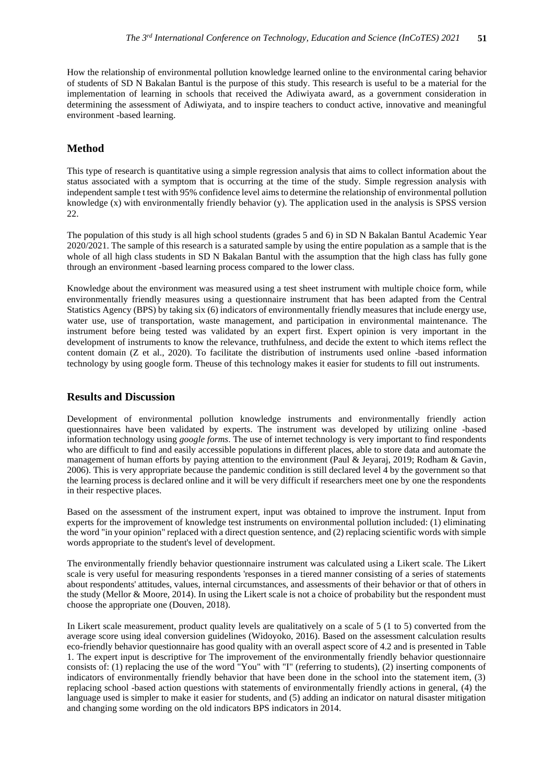How the relationship of environmental pollution knowledge learned online to the environmental caring behavior of students of SD N Bakalan Bantul is the purpose of this study. This research is useful to be a material for the implementation of learning in schools that received the Adiwiyata award, as a government consideration in determining the assessment of Adiwiyata, and to inspire teachers to conduct active, innovative and meaningful environment -based learning.

#### **Method**

This type of research is quantitative using a simple regression analysis that aims to collect information about the status associated with a symptom that is occurring at the time of the study. Simple regression analysis with independent sample t test with 95% confidence level aims to determine the relationship of environmental pollution knowledge (x) with environmentally friendly behavior (y). The application used in the analysis is SPSS version 22.

The population of this study is all high school students (grades 5 and 6) in SD N Bakalan Bantul Academic Year 2020/2021. The sample of this research is a saturated sample by using the entire population as a sample that is the whole of all high class students in SD N Bakalan Bantul with the assumption that the high class has fully gone through an environment -based learning process compared to the lower class.

Knowledge about the environment was measured using a test sheet instrument with multiple choice form, while environmentally friendly measures using a questionnaire instrument that has been adapted from the Central Statistics Agency (BPS) by taking six (6) indicators of environmentally friendly measures that include energy use, water use, use of transportation, waste management, and participation in environmental maintenance. The instrument before being tested was validated by an expert first. Expert opinion is very important in the development of instruments to know the relevance, truthfulness, and decide the extent to which items reflect the content domain (Z et al., 2020). To facilitate the distribution of instruments used online -based information technology by using google form. Theuse of this technology makes it easier for students to fill out instruments.

#### **Results and Discussion**

Development of environmental pollution knowledge instruments and environmentally friendly action questionnaires have been validated by experts. The instrument was developed by utilizing online -based information technology using *google forms*. The use of internet technology is very important to find respondents who are difficult to find and easily accessible populations in different places, able to store data and automate the management of human efforts by paying attention to the environment (Paul & Jeyaraj, 2019; Rodham & Gavin, 2006). This is very appropriate because the pandemic condition is still declared level 4 by the government so that the learning process is declared online and it will be very difficult if researchers meet one by one the respondents in their respective places.

Based on the assessment of the instrument expert, input was obtained to improve the instrument. Input from experts for the improvement of knowledge test instruments on environmental pollution included: (1) eliminating the word "in your opinion" replaced with a direct question sentence, and (2) replacing scientific words with simple words appropriate to the student's level of development.

The environmentally friendly behavior questionnaire instrument was calculated using a Likert scale. The Likert scale is very useful for measuring respondents 'responses in a tiered manner consisting of a series of statements about respondents' attitudes, values, internal circumstances, and assessments of their behavior or that of others in the study (Mellor & Moore, 2014). In using the Likert scale is not a choice of probability but the respondent must choose the appropriate one (Douven, 2018).

In Likert scale measurement, product quality levels are qualitatively on a scale of 5 (1 to 5) converted from the average score using ideal conversion guidelines (Widoyoko, 2016). Based on the assessment calculation results eco-friendly behavior questionnaire has good quality with an overall aspect score of 4.2 and is presented in Table 1. The expert input is descriptive for The improvement of the environmentally friendly behavior questionnaire consists of: (1) replacing the use of the word "You" with "I" (referring to students), (2) inserting components of indicators of environmentally friendly behavior that have been done in the school into the statement item, (3) replacing school -based action questions with statements of environmentally friendly actions in general, (4) the language used is simpler to make it easier for students, and (5) adding an indicator on natural disaster mitigation and changing some wording on the old indicators BPS indicators in 2014.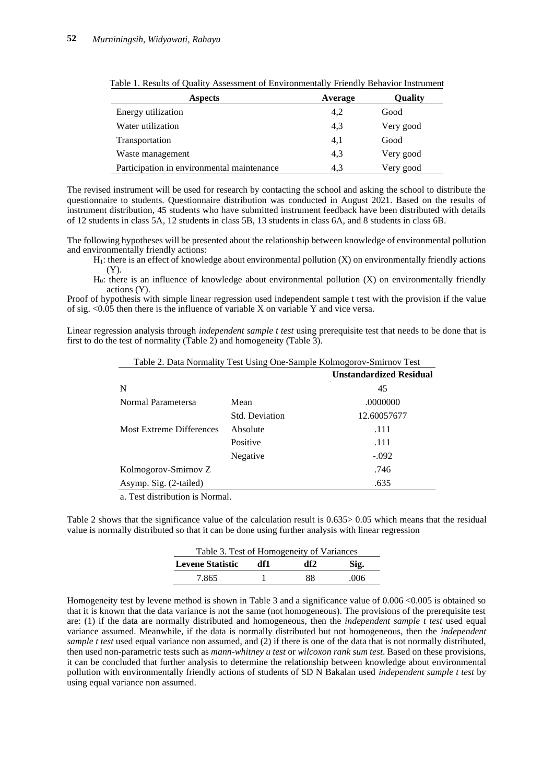| <b>Aspects</b>                             | Average | Oualitv   |
|--------------------------------------------|---------|-----------|
| Energy utilization                         | 4,2     | Good      |
| Water utilization                          | 4,3     | Very good |
| Transportation                             | 4,1     | Good      |
| Waste management                           | 4,3     | Very good |
| Participation in environmental maintenance | 4.3     | Very good |

|  | Table 1. Results of Quality Assessment of Environmentally Friendly Behavior Instrument |  |  |
|--|----------------------------------------------------------------------------------------|--|--|
|  |                                                                                        |  |  |

The revised instrument will be used for research by contacting the school and asking the school to distribute the questionnaire to students. Questionnaire distribution was conducted in August 2021. Based on the results of instrument distribution, 45 students who have submitted instrument feedback have been distributed with details of 12 students in class 5A, 12 students in class 5B, 13 students in class 6A, and 8 students in class 6B.

The following hypotheses will be presented about the relationship between knowledge of environmental pollution and environmentally friendly actions:

 $H<sub>1</sub>$ : there is an effect of knowledge about environmental pollution  $(X)$  on environmentally friendly actions (Y).

 $H<sub>0</sub>$ : there is an influence of knowledge about environmental pollution  $(X)$  on environmentally friendly actions (Y).

Proof of hypothesis with simple linear regression used independent sample t test with the provision if the value of sig. <0.05 then there is the influence of variable X on variable Y and vice versa.

Linear regression analysis through *independent sample t test* using prerequisite test that needs to be done that is first to do the test of normality (Table 2) and homogeneity (Table 3).

| Table 2. Data Normality Test Using One-Sample Kolmogorov-Smirnov Test |  |                                                                                                             |  |
|-----------------------------------------------------------------------|--|-------------------------------------------------------------------------------------------------------------|--|
|                                                                       |  | $\mathbf{H}$ , and a set $\mathbf{H}$ , and $\mathbf{H}$ and $\mathbf{H}$ and $\mathbf{H}$ and $\mathbf{H}$ |  |

|                                 |                       | UIIstanuaruizeu Kesiuuai |
|---------------------------------|-----------------------|--------------------------|
| N                               |                       | 45                       |
| Normal Parametersa              | Mean                  | .0000000                 |
|                                 | <b>Std. Deviation</b> | 12.60057677              |
| <b>Most Extreme Differences</b> | Absolute              | .111                     |
|                                 | Positive              | .111                     |
|                                 | Negative              | $-.092$                  |
| Kolmogorov-Smirnov Z            |                       | .746                     |
| Asymp. Sig. (2-tailed)          |                       | .635                     |
|                                 |                       |                          |

a. Test distribution is Normal.

Table 2 shows that the significance value of the calculation result is 0.635> 0.05 which means that the residual value is normally distributed so that it can be done using further analysis with linear regression

| Table 3. Test of Homogeneity of Variances |     |     |      |  |
|-------------------------------------------|-----|-----|------|--|
| <b>Levene Statistic</b>                   | df1 | df2 | Sig. |  |
| 7.865                                     |     | 88  | .006 |  |

Homogeneity test by levene method is shown in Table 3 and a significance value of 0.006 <0.005 is obtained so that it is known that the data variance is not the same (not homogeneous). The provisions of the prerequisite test are: (1) if the data are normally distributed and homogeneous, then the *independent sample t test* used equal variance assumed. Meanwhile, if the data is normally distributed but not homogeneous, then the *independent sample t test* used equal variance non assumed, and (2) if there is one of the data that is not normally distributed, then used non-parametric tests such as *mann-whitney u test* or *wilcoxon rank sum test*. Based on these provisions, it can be concluded that further analysis to determine the relationship between knowledge about environmental pollution with environmentally friendly actions of students of SD N Bakalan used *independent sample t test* by using equal variance non assumed.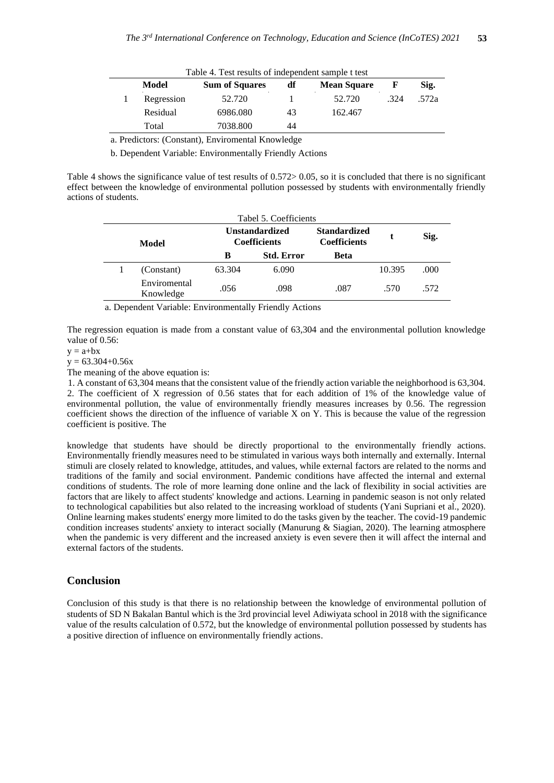| Table 4. Test results of independent sample t test |            |                       |    |                    |      |       |
|----------------------------------------------------|------------|-----------------------|----|--------------------|------|-------|
|                                                    | Model      | <b>Sum of Squares</b> | df | <b>Mean Square</b> | F    | Sig.  |
|                                                    | Regression | 52.720                |    | 52.720             | .324 | .572a |
|                                                    | Residual   | 6986.080              | 43 | 162.467            |      |       |
|                                                    | Total      | 7038.800              | 44 |                    |      |       |

a. Predictors: (Constant), Enviromental Knowledge

b. Dependent Variable: Environmentally Friendly Actions

Table 4 shows the significance value of test results of 0.572> 0.05, so it is concluded that there is no significant effect between the knowledge of environmental pollution possessed by students with environmentally friendly actions of students.

| Tabel 5. Coefficients |                           |                                              |                   |                                            |        |      |
|-----------------------|---------------------------|----------------------------------------------|-------------------|--------------------------------------------|--------|------|
| Model                 |                           | <b>Unstandardized</b><br><b>Coefficients</b> |                   | <b>Standardized</b><br><b>Coefficients</b> |        | Sig. |
|                       |                           | В                                            | <b>Std. Error</b> | Beta                                       |        |      |
|                       | (Constant)                | 63.304                                       | 6.090             |                                            | 10.395 | .000 |
|                       | Enviromental<br>Knowledge | .056                                         | .098              | .087                                       | .570   | .572 |

a. Dependent Variable: Environmentally Friendly Actions

The regression equation is made from a constant value of 63,304 and the environmental pollution knowledge value of 0.56:

 $y = a + bx$ 

 $y = 63.304 + 0.56x$ 

The meaning of the above equation is:

1. A constant of 63,304 means that the consistent value of the friendly action variable the neighborhood is 63,304. 2. The coefficient of X regression of 0.56 states that for each addition of 1% of the knowledge value of environmental pollution, the value of environmentally friendly measures increases by 0.56. The regression coefficient shows the direction of the influence of variable X on Y. This is because the value of the regression coefficient is positive. The

knowledge that students have should be directly proportional to the environmentally friendly actions. Environmentally friendly measures need to be stimulated in various ways both internally and externally. Internal stimuli are closely related to knowledge, attitudes, and values, while external factors are related to the norms and traditions of the family and social environment. Pandemic conditions have affected the internal and external conditions of students. The role of more learning done online and the lack of flexibility in social activities are factors that are likely to affect students' knowledge and actions. Learning in pandemic season is not only related to technological capabilities but also related to the increasing workload of students (Yani Supriani et al., 2020). Online learning makes students' energy more limited to do the tasks given by the teacher. The covid-19 pandemic condition increases students' anxiety to interact socially (Manurung & Siagian, 2020). The learning atmosphere when the pandemic is very different and the increased anxiety is even severe then it will affect the internal and external factors of the students.

#### **Conclusion**

Conclusion of this study is that there is no relationship between the knowledge of environmental pollution of students of SD N Bakalan Bantul which is the 3rd provincial level Adiwiyata school in 2018 with the significance value of the results calculation of 0.572, but the knowledge of environmental pollution possessed by students has a positive direction of influence on environmentally friendly actions.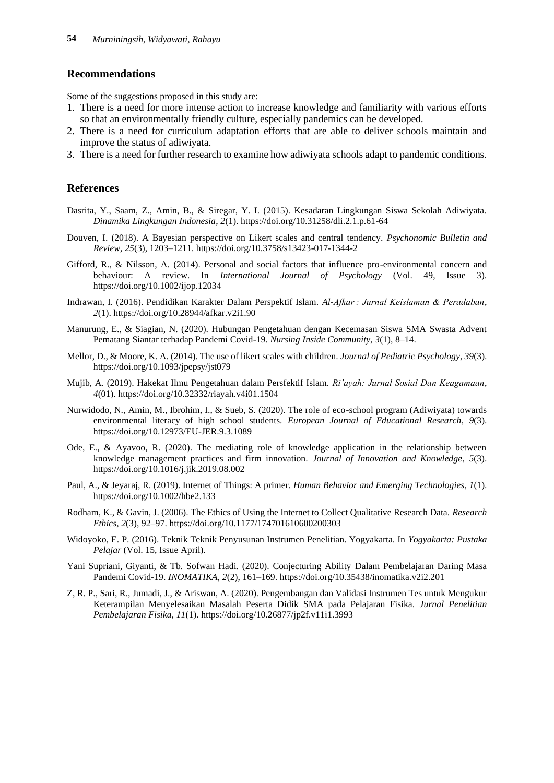## **Recommendations**

Some of the suggestions proposed in this study are:

- 1. There is a need for more intense action to increase knowledge and familiarity with various efforts so that an environmentally friendly culture, especially pandemics can be developed.
- 2. There is a need for curriculum adaptation efforts that are able to deliver schools maintain and improve the status of adiwiyata.
- 3. There is a need for further research to examine how adiwiyata schools adapt to pandemic conditions.

### **References**

- Dasrita, Y., Saam, Z., Amin, B., & Siregar, Y. I. (2015). Kesadaran Lingkungan Siswa Sekolah Adiwiyata. *Dinamika Lingkungan Indonesia*, *2*(1). https://doi.org/10.31258/dli.2.1.p.61-64
- Douven, I. (2018). A Bayesian perspective on Likert scales and central tendency. *Psychonomic Bulletin and Review*, *25*(3), 1203–1211. https://doi.org/10.3758/s13423-017-1344-2
- Gifford, R., & Nilsson, A. (2014). Personal and social factors that influence pro-environmental concern and behaviour: A review. In *International Journal of Psychology* (Vol. 49, Issue 3). https://doi.org/10.1002/ijop.12034
- Indrawan, I. (2016). Pendidikan Karakter Dalam Perspektif Islam. *Al-Afkar : Jurnal Keislaman & Peradaban*, *2*(1). https://doi.org/10.28944/afkar.v2i1.90
- Manurung, E., & Siagian, N. (2020). Hubungan Pengetahuan dengan Kecemasan Siswa SMA Swasta Advent Pematang Siantar terhadap Pandemi Covid-19. *Nursing Inside Community*, *3*(1), 8–14.
- Mellor, D., & Moore, K. A. (2014). The use of likert scales with children. *Journal of Pediatric Psychology*, *39*(3). https://doi.org/10.1093/jpepsy/jst079
- Mujib, A. (2019). Hakekat Ilmu Pengetahuan dalam Persfektif Islam. *Ri'ayah: Jurnal Sosial Dan Keagamaan*, *4*(01). https://doi.org/10.32332/riayah.v4i01.1504
- Nurwidodo, N., Amin, M., Ibrohim, I., & Sueb, S. (2020). The role of eco-school program (Adiwiyata) towards environmental literacy of high school students. *European Journal of Educational Research*, *9*(3). https://doi.org/10.12973/EU-JER.9.3.1089
- Ode, E., & Ayavoo, R. (2020). The mediating role of knowledge application in the relationship between knowledge management practices and firm innovation. *Journal of Innovation and Knowledge*, *5*(3). https://doi.org/10.1016/j.jik.2019.08.002
- Paul, A., & Jeyaraj, R. (2019). Internet of Things: A primer. *Human Behavior and Emerging Technologies*, *1*(1). https://doi.org/10.1002/hbe2.133
- Rodham, K., & Gavin, J. (2006). The Ethics of Using the Internet to Collect Qualitative Research Data. *Research Ethics*, *2*(3), 92–97. https://doi.org/10.1177/174701610600200303
- Widoyoko, E. P. (2016). Teknik Teknik Penyusunan Instrumen Penelitian. Yogyakarta. In *Yogyakarta: Pustaka Pelajar* (Vol. 15, Issue April).
- Yani Supriani, Giyanti, & Tb. Sofwan Hadi. (2020). Conjecturing Ability Dalam Pembelajaran Daring Masa Pandemi Covid-19. *INOMATIKA*, *2*(2), 161–169. https://doi.org/10.35438/inomatika.v2i2.201
- Z, R. P., Sari, R., Jumadi, J., & Ariswan, A. (2020). Pengembangan dan Validasi Instrumen Tes untuk Mengukur Keterampilan Menyelesaikan Masalah Peserta Didik SMA pada Pelajaran Fisika. *Jurnal Penelitian Pembelajaran Fisika*, *11*(1). https://doi.org/10.26877/jp2f.v11i1.3993